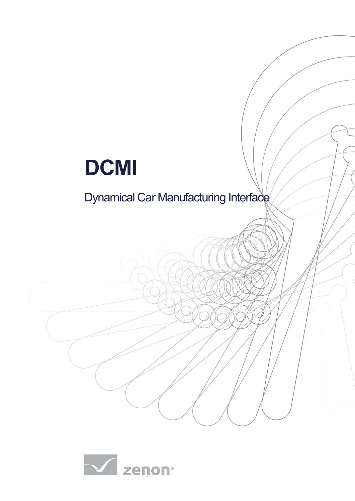# **DCMI**

## Dynamical Car Manufacturing Interface

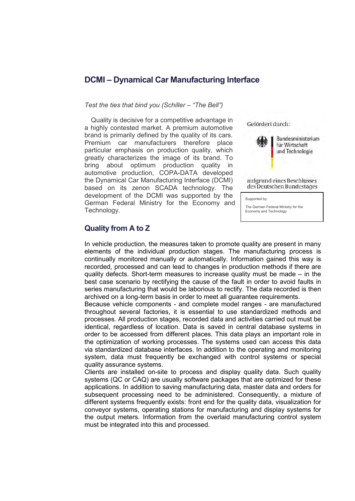### **DCMI – Dynamical Car Manufacturing Interface**

#### *Test the ties that bind you (Schiller – "The Bell")*

Quality is decisive for a competitive advantage in a highly contested market. A premium automotive brand is primarily defined by the quality of its cars. Premium car manufacturers therefore place particular emphasis on production quality, which greatly characterizes the image of its brand. To bring about optimum production quality in automotive production, COPA-DATA developed the Dynamical Car Manufacturing Interface (DCMI) based on its zenon SCADA technology. The development of the DCMI was supported by the German Federal Ministry for the Economy and Technology.





aufgrund eines Beschlusses des Deutschen Bundestages

Supported by:

The German Federal Ministry for the Economy and Technology

On the basis of a resolution passed by the

#### **Quality from A to Z**

In vehicle production, the measures taken to promote quality are present in many elements of the individual production stages. The manufacturing process is continually monitored manually or automatically. Information gained this way is recorded, processed and can lead to changes in production methods if there are quality defects. Short-term measures to increase quality must be made – in the best case scenario by rectifying the cause of the fault in order to avoid faults in series manufacturing that would be laborious to rectify. The data recorded is then archived on a long-term basis in order to meet all guarantee requirements.

Because vehicle components - and complete model ranges - are manufactured throughout several factories, it is essential to use standardized methods and processes. All production stages, recorded data and activities carried out must be identical, regardless of location. Data is saved in central database systems in order to be accessed from different places. This data plays an important role in the optimization of working processes. The systems used can access this data via standardized database interfaces. In addition to the operating and monitoring system, data must frequently be exchanged with control systems or special quality assurance systems.

Clients are installed on-site to process and display quality data. Such quality systems (QC or CAQ) are usually software packages that are optimized for these applications. In addition to saving manufacturing data, master data and orders for subsequent processing need to be administered. Consequently, a mixture of different systems frequently exists: front end for the quality data, visualization for conveyor systems, operating stations for manufacturing and display systems for the output meters. Information from the overlaid manufacturing control system must be integrated into this and processed.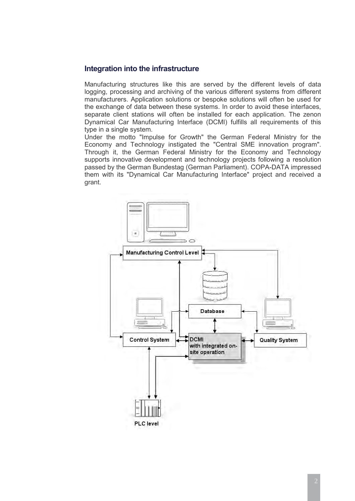#### **Integration into the infrastructure**

Manufacturing structures like this are served by the different levels of data logging, processing and archiving of the various different systems from different manufacturers. Application solutions or bespoke solutions will often be used for the exchange of data between these systems. In order to avoid these interfaces, separate client stations will often be installed for each application. The zenon Dynamical Car Manufacturing Interface (DCMI) fulfills all requirements of this type in a single system.

Under the motto "Impulse for Growth" the German Federal Ministry for the Economy and Technology instigated the "Central SME innovation program". Through it, the German Federal Ministry for the Economy and Technology supports innovative development and technology projects following a resolution passed by the German Bundestag (German Parliament). COPA-DATA impressed them with its "Dynamical Car Manufacturing Interface" project and received a grant.

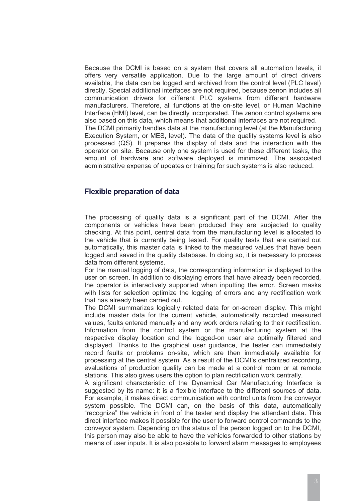Because the DCMI is based on a system that covers all automation levels, it offers very versatile application. Due to the large amount of direct drivers available, the data can be logged and archived from the control level (PLC level) directly. Special additional interfaces are not required, because zenon includes all communication drivers for different PLC systems from different hardware manufacturers. Therefore, all functions at the on-site level, or Human Machine Interface (HMI) level, can be directly incorporated. The zenon control systems are also based on this data, which means that additional interfaces are not required. The DCMI primarily handles data at the manufacturing level (at the Manufacturing Execution System, or MES, level). The data of the quality systems level is also processed (QS). It prepares the display of data and the interaction with the operator on site. Because only one system is used for these different tasks, the amount of hardware and software deployed is minimized. The associated administrative expense of updates or training for such systems is also reduced.

#### **Flexible preparation of data**

The processing of quality data is a significant part of the DCMI. After the components or vehicles have been produced they are subjected to quality checking. At this point, central data from the manufacturing level is allocated to the vehicle that is currently being tested. For quality tests that are carried out automatically, this master data is linked to the measured values that have been logged and saved in the quality database. In doing so, it is necessary to process data from different systems.

For the manual logging of data, the corresponding information is displayed to the user on screen. In addition to displaying errors that have already been recorded, the operator is interactively supported when inputting the error. Screen masks with lists for selection optimize the logging of errors and any rectification work that has already been carried out.

The DCMI summarizes logically related data for on-screen display. This might include master data for the current vehicle, automatically recorded measured values, faults entered manually and any work orders relating to their rectification. Information from the control system or the manufacturing system at the respective display location and the logged-on user are optimally filtered and displayed. Thanks to the graphical user guidance, the tester can immediately record faults or problems on-site, which are then immediately available for processing at the central system. As a result of the DCMI's centralized recording, evaluations of production quality can be made at a control room or at remote stations. This also gives users the option to plan rectification work centrally.

A significant characteristic of the Dynamical Car Manufacturing Interface is suggested by its name: it is a flexible interface to the different sources of data. For example, it makes direct communication with control units from the conveyor system possible. The DCMI can, on the basis of this data, automatically "recognize" the vehicle in front of the tester and display the attendant data. This direct interface makes it possible for the user to forward control commands to the conveyor system. Depending on the status of the person logged on to the DCMI, this person may also be able to have the vehicles forwarded to other stations by means of user inputs. It is also possible to forward alarm messages to employees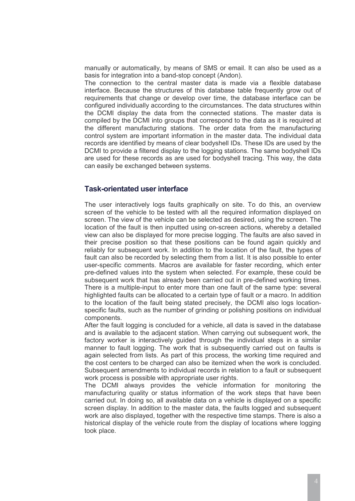manually or automatically, by means of SMS or email. It can also be used as a basis for integration into a band-stop concept (Andon).

The connection to the central master data is made via a flexible database interface. Because the structures of this database table frequently grow out of requirements that change or develop over time, the database interface can be configured individually according to the circumstances. The data structures within the DCMI display the data from the connected stations. The master data is compiled by the DCMI into groups that correspond to the data as it is required at the different manufacturing stations. The order data from the manufacturing control system are important information in the master data. The individual data records are identified by means of clear bodyshell IDs. These IDs are used by the DCMI to provide a filtered display to the logging stations. The same bodyshell IDs are used for these records as are used for bodyshell tracing. This way, the data can easily be exchanged between systems.

#### **Task-orientated user interface**

The user interactively logs faults graphically on site. To do this, an overview screen of the vehicle to be tested with all the required information displayed on screen. The view of the vehicle can be selected as desired, using the screen. The location of the fault is then inputted using on-screen actions, whereby a detailed view can also be displayed for more precise logging. The faults are also saved in their precise position so that these positions can be found again quickly and reliably for subsequent work. In addition to the location of the fault, the types of fault can also be recorded by selecting them from a list. It is also possible to enter user-specific comments. Macros are available for faster recording, which enter pre-defined values into the system when selected. For example, these could be subsequent work that has already been carried out in pre-defined working times. There is a multiple-input to enter more than one fault of the same type: several highlighted faults can be allocated to a certain type of fault or a macro. In addition to the location of the fault being stated precisely, the DCMI also logs locationspecific faults, such as the number of grinding or polishing positions on individual components.

After the fault logging is concluded for a vehicle, all data is saved in the database and is available to the adjacent station. When carrying out subsequent work, the factory worker is interactively guided through the individual steps in a similar manner to fault logging. The work that is subsequently carried out on faults is again selected from lists. As part of this process, the working time required and the cost centers to be charged can also be itemized when the work is concluded. Subsequent amendments to individual records in relation to a fault or subsequent work process is possible with appropriate user rights.

The DCMI always provides the vehicle information for monitoring the manufacturing quality or status information of the work steps that have been carried out. In doing so, all available data on a vehicle is displayed on a specific screen display. In addition to the master data, the faults logged and subsequent work are also displayed, together with the respective time stamps. There is also a historical display of the vehicle route from the display of locations where logging took place.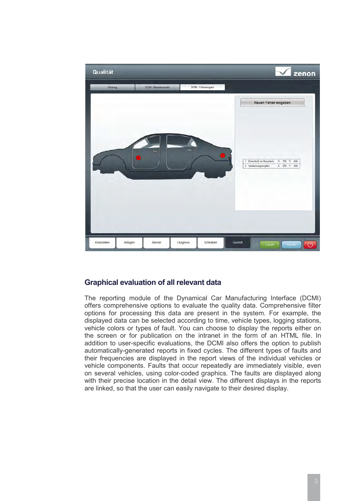

#### **Graphical evaluation of all relevant data**

The reporting module of the Dynamical Car Manufacturing Interface (DCMI) offers comprehensive options to evaluate the quality data. Comprehensive filter options for processing this data are present in the system. For example, the displayed data can be selected according to time, vehicle types, logging stations, vehicle colors or types of fault. You can choose to display the reports either on the screen or for publication on the intranet in the form of an HTML file. In addition to user-specific evaluations, the DCMI also offers the option to publish automatically-generated reports in fixed cycles. The different types of faults and their frequencies are displayed in the report views of the individual vehicles or vehicle components. Faults that occur repeatedly are immediately visible, even on several vehicles, using color-coded graphics. The faults are displayed along with their precise location in the detail view. The different displays in the reports are linked, so that the user can easily navigate to their desired display.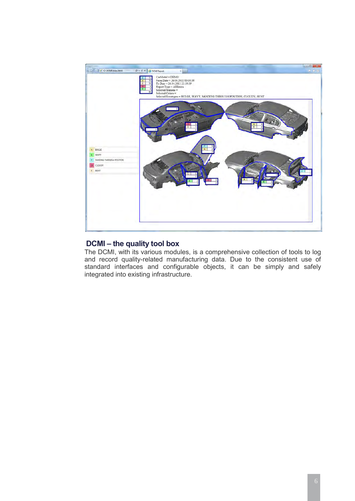

#### **DCMI – the quality tool box**

The DCMI, with its various modules, is a comprehensive collection of tools to log and record quality-related manufacturing data. Due to the consistent use of standard interfaces and configurable objects, it can be simply and safely integrated into existing infrastructure.